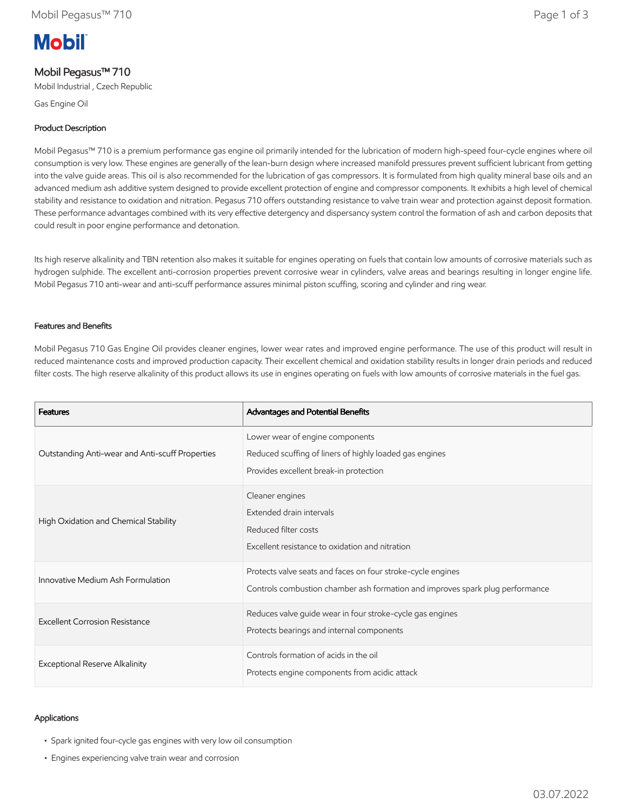# **Mobil**

# Mobil Pegasus™ 710

Mobil Industrial , Czech Republic

Gas Engine Oil

# Product Description

Mobil Pegasus™ 710 is a premium performance gas engine oil primarily intended for the lubrication of modern high-speed four-cycle engines where oil consumption is very low. These engines are generally of the lean-burn design where increased manifold pressures prevent sufficient lubricant from getting into the valve guide areas. This oil is also recommended for the lubrication of gas compressors. It is formulated from high quality mineral base oils and an advanced medium ash additive system designed to provide excellent protection of engine and compressor components. It exhibits a high level of chemical stability and resistance to oxidation and nitration. Pegasus 710 offers outstanding resistance to valve train wear and protection against deposit formation. These performance advantages combined with its very effective detergency and dispersancy system control the formation of ash and carbon deposits that could result in poor engine performance and detonation.

Its high reserve alkalinity and TBN retention also makes it suitable for engines operating on fuels that contain low amounts of corrosive materials such as hydrogen sulphide. The excellent anti-corrosion properties prevent corrosive wear in cylinders, valve areas and bearings resulting in longer engine life. Mobil Pegasus 710 anti-wear and anti-scuff performance assures minimal piston scuffing, scoring and cylinder and ring wear.

## Features and Benefits

Mobil Pegasus 710 Gas Engine Oil provides cleaner engines, lower wear rates and improved engine performance. The use of this product will result in reduced maintenance costs and improved production capacity. Their excellent chemical and oxidation stability results in longer drain periods and reduced filter costs. The high reserve alkalinity of this product allows its use in engines operating on fuels with low amounts of corrosive materials in the fuel gas.

| <b>Features</b>                                 | Advantages and Potential Benefits                                                                                                            |
|-------------------------------------------------|----------------------------------------------------------------------------------------------------------------------------------------------|
| Outstanding Anti-wear and Anti-scuff Properties | Lower wear of engine components<br>Reduced scuffing of liners of highly loaded gas engines<br>Provides excellent break-in protection         |
| High Oxidation and Chemical Stability           | Cleaner engines<br>Extended drain intervals<br>Reduced filter costs<br>Excellent resistance to oxidation and nitration                       |
| Innovative Medium Ash Formulation               | Protects valve seats and faces on four stroke-cycle engines<br>Controls combustion chamber ash formation and improves spark plug performance |
| Excellent Corrosion Resistance                  | Reduces valve quide wear in four stroke-cycle gas engines<br>Protects bearings and internal components                                       |
| <b>Exceptional Reserve Alkalinity</b>           | Controls formation of acids in the oil<br>Protects engine components from acidic attack                                                      |

### Applications

- Spark ignited four-cycle gas engines with very low oil consumption
- Engines experiencing valve train wear and corrosion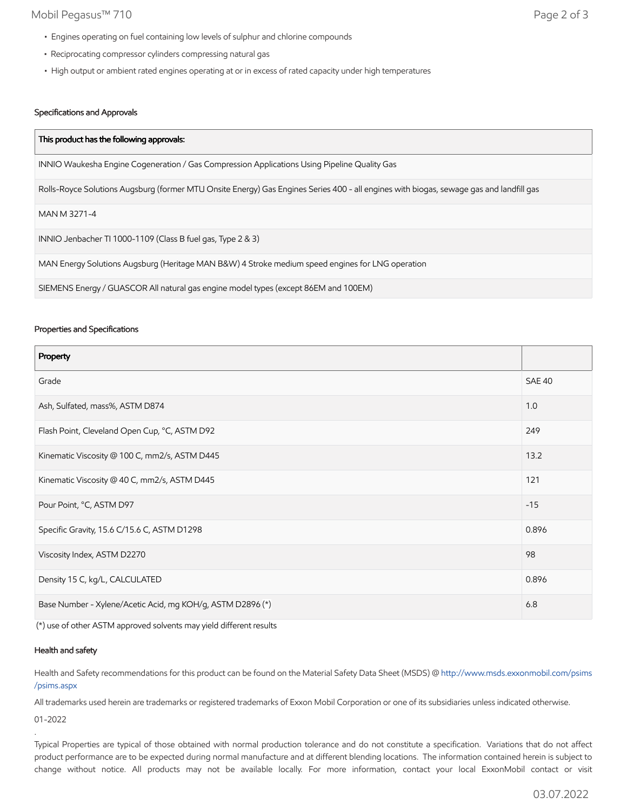# Mobil Pegasus™ 710 Page 2 of 3

- Engines operating on fuel containing low levels of sulphur and chlorine compounds
- Reciprocating compressor cylinders compressing natural gas
- High output or ambient rated engines operating at or in excess of rated capacity under high temperatures

# Specifications and Approvals

| This product has the following approvals:                                                                                               |  |
|-----------------------------------------------------------------------------------------------------------------------------------------|--|
| INNIO Waukesha Engine Cogeneration / Gas Compression Applications Using Pipeline Quality Gas                                            |  |
| Rolls-Royce Solutions Augsburg (former MTU Onsite Energy) Gas Engines Series 400 - all engines with biogas, sewage gas and landfill gas |  |
| MAN M 3271-4                                                                                                                            |  |
| INNIO Jenbacher TI 1000-1109 (Class B fuel gas, Type 2 & 3)                                                                             |  |
| MAN Energy Solutions Augsburg (Heritage MAN B&W) 4 Stroke medium speed engines for LNG operation                                        |  |
| SIEMENS Energy / GUASCOR All natural gas engine model types (except 86EM and 100EM)                                                     |  |

#### Properties and Specifications

| Property                                                   |               |
|------------------------------------------------------------|---------------|
| Grade                                                      | <b>SAE 40</b> |
| Ash, Sulfated, mass%, ASTM D874                            | 1.0           |
| Flash Point, Cleveland Open Cup, °C, ASTM D92              | 249           |
| Kinematic Viscosity @ 100 C, mm2/s, ASTM D445              | 13.2          |
| Kinematic Viscosity @ 40 C, mm2/s, ASTM D445               | 121           |
| Pour Point, °C, ASTM D97                                   | $-15$         |
| Specific Gravity, 15.6 C/15.6 C, ASTM D1298                | 0.896         |
| Viscosity Index, ASTM D2270                                | 98            |
| Density 15 C, kg/L, CALCULATED                             | 0.896         |
| Base Number - Xylene/Acetic Acid, mg KOH/g, ASTM D2896 (*) |               |

(\*) use of other ASTM approved solvents may yield different results

### Health and safety

Health and Safety recommendations for this product can be found on the Material Safety Data Sheet (MSDS) @ [http://www.msds.exxonmobil.com/psims](http://www.msds.exxonmobil.com/psims/psims.aspx) /psims.aspx

All trademarks used herein are trademarks or registered trademarks of Exxon Mobil Corporation or one of its subsidiaries unless indicated otherwise.

01-2022

.

Typical Properties are typical of those obtained with normal production tolerance and do not constitute a specification. Variations that do not affect product performance are to be expected during normal manufacture and at different blending locations. The information contained herein is subject to change without notice. All products may not be available locally. For more information, contact your local ExxonMobil contact or visit